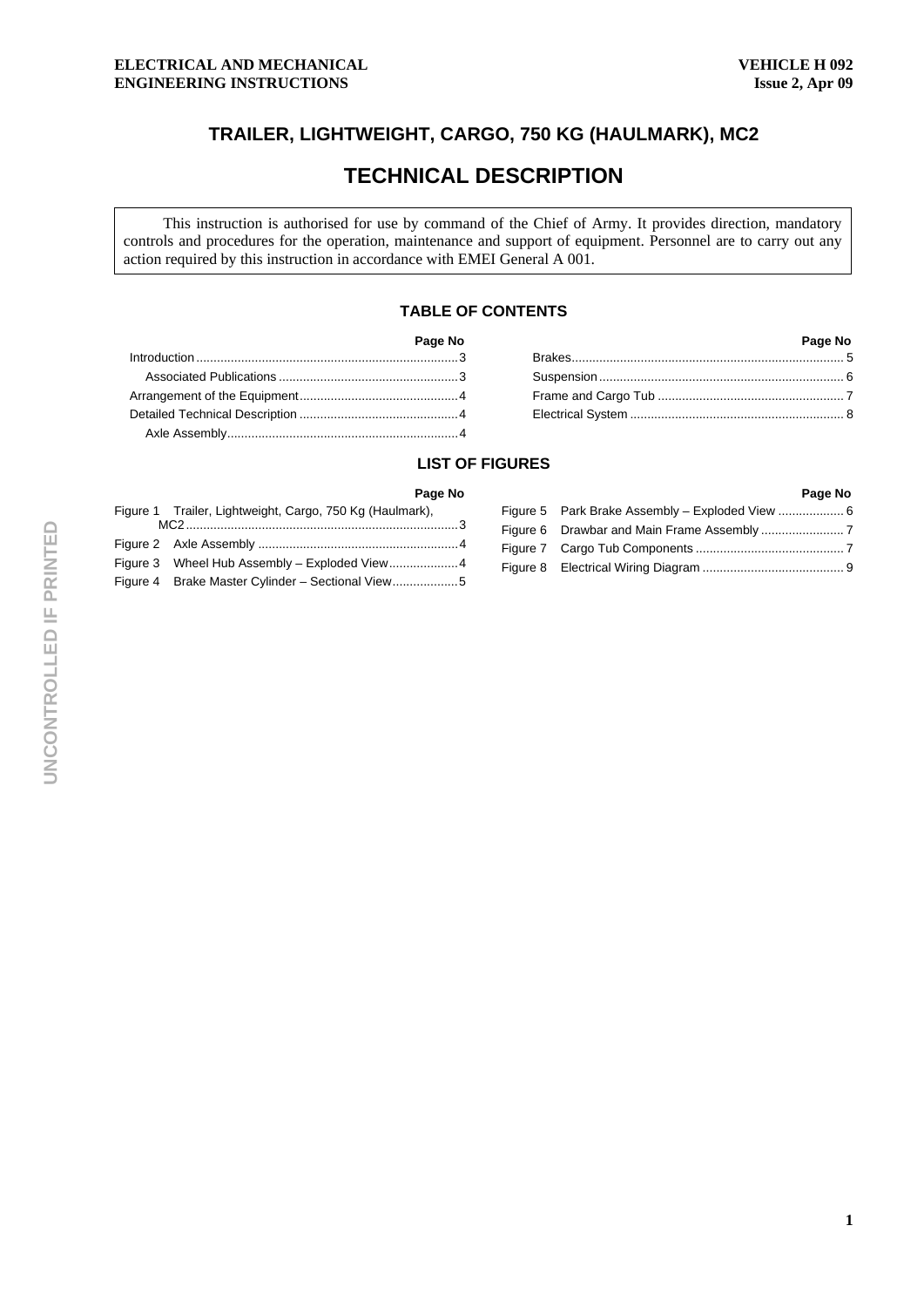## **TRAILER, LIGHTWEIGHT, CARGO, 750 KG (HAULMARK), MC2**

# **TECHNICAL DESCRIPTION**

This instruction is authorised for use by command of the Chief of Army. It provides direction, mandatory controls and procedures for the operation, maintenance and support of equipment. Personnel are to carry out any action required by this instruction in accordance with EMEI General A 001.

### **TABLE OF CONTENTS**

| Page No          | Page No |
|------------------|---------|
|                  |         |
|                  |         |
|                  |         |
|                  |         |
|                  |         |
| LICT AE EIALIDEC |         |

#### **LIST OF FIGURES**

| Figure 1 Trailer, Lightweight, Cargo, 750 Kg (Haulmark), |  |
|----------------------------------------------------------|--|
|                                                          |  |
| Figure 3 Wheel Hub Assembly - Exploded View4             |  |
| Figure 4 Brake Master Cylinder - Sectional View5         |  |

| Page No |  | Page No |
|---------|--|---------|
| ark),   |  |         |
| . 3     |  |         |
| . 4     |  |         |
| . 4     |  |         |
|         |  |         |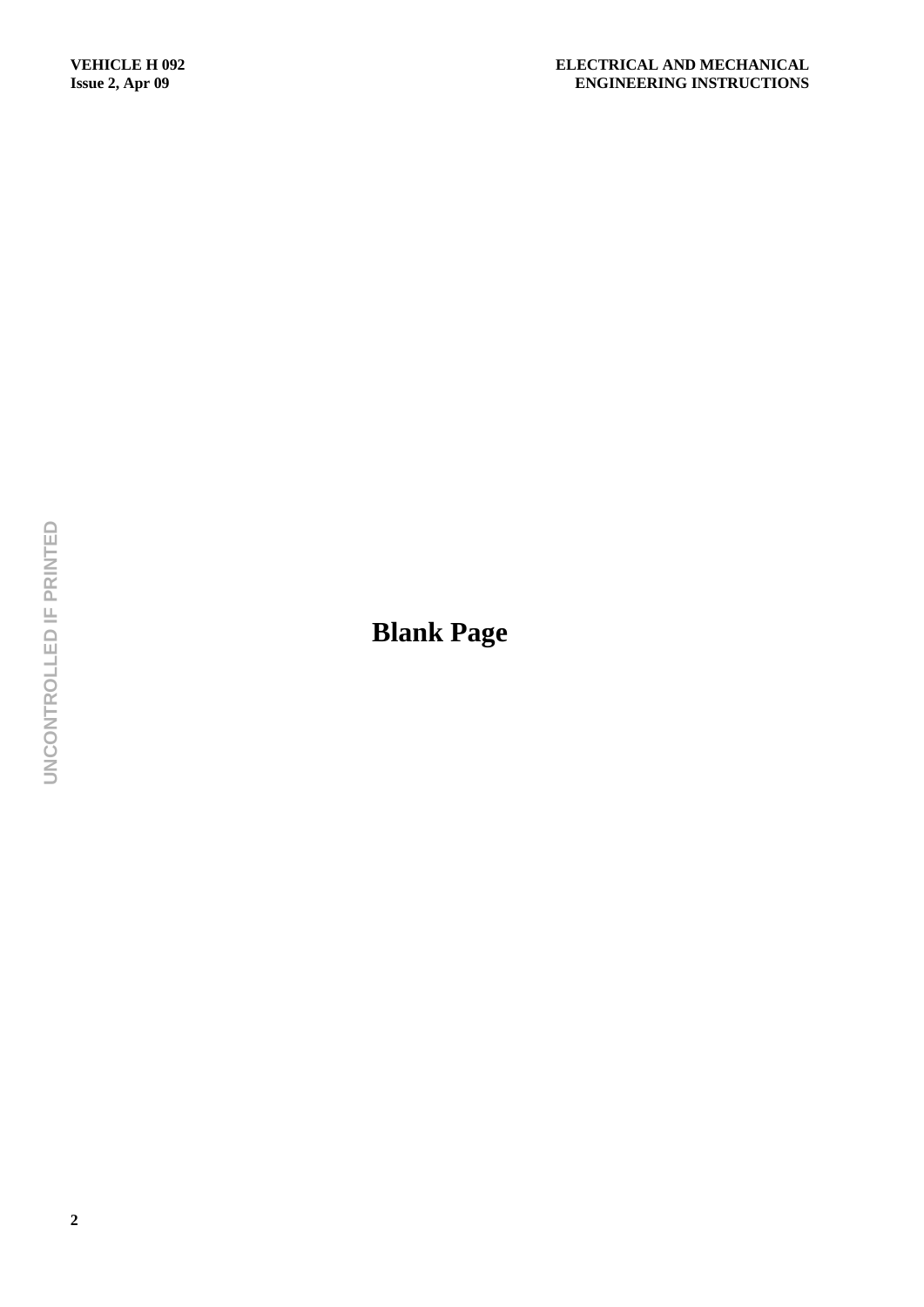# **Blank Page**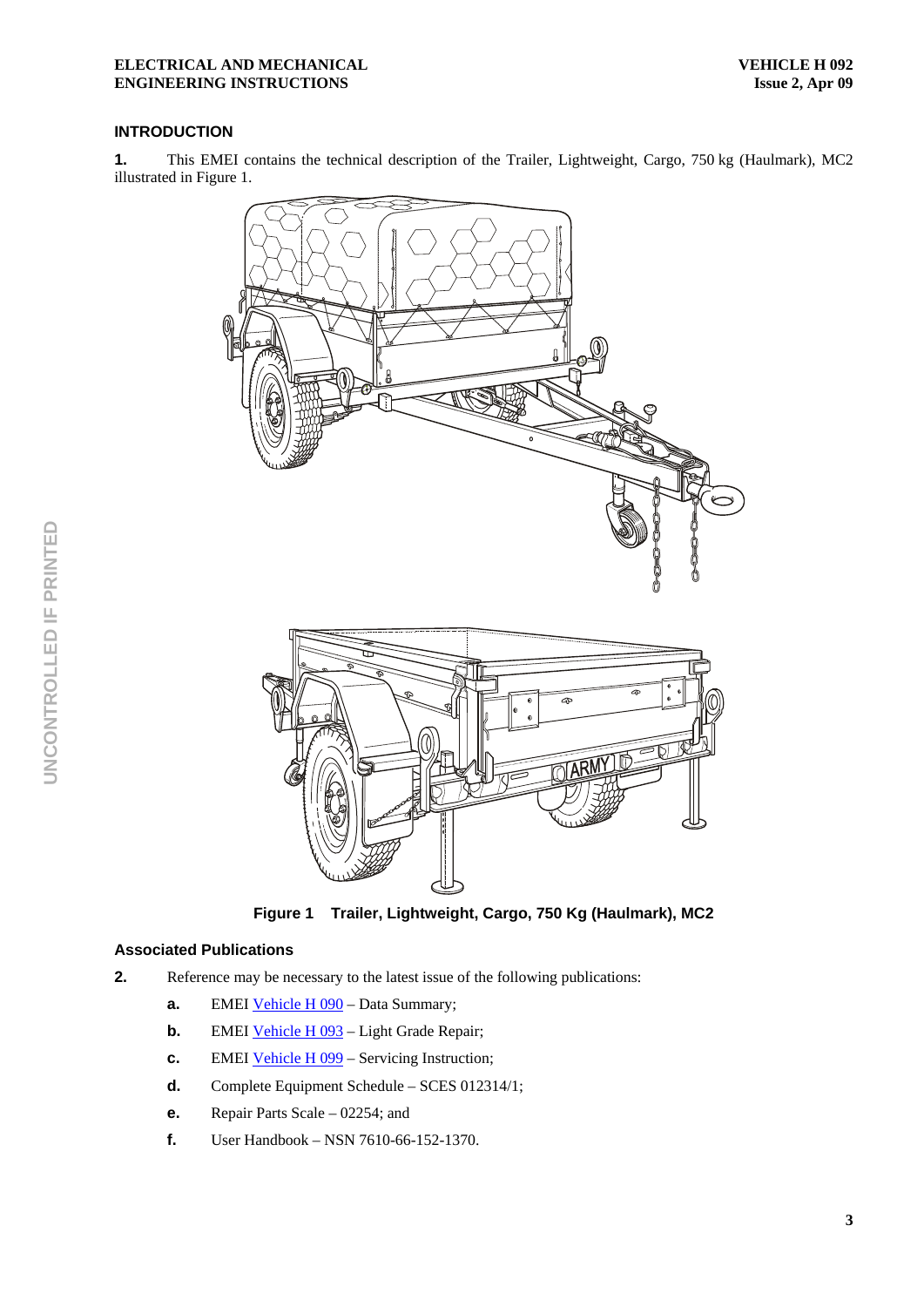### **INTRODUCTION**

**1.** This EMEI contains the technical description of the Trailer, Lightweight, Cargo, 750 kg (Haulmark), MC2 illustrated in Figure 1.



**Figure 1 Trailer, Lightweight, Cargo, 750 Kg (Haulmark), MC2** 

#### **Associated Publications**

- **2.** Reference may be necessary to the latest issue of the following publications:
	- **a. EMEI** Vehicle H 090 Data Summary;
	- **b.** EMEI Vehicle H 093 Light Grade Repair;
	- **c. EMEI** Vehicle H 099 Servicing Instruction;
	- **d.** Complete Equipment Schedule SCES 012314/1;
	- **e.** Repair Parts Scale 02254; and
	- **f.** User Handbook NSN 7610-66-152-1370.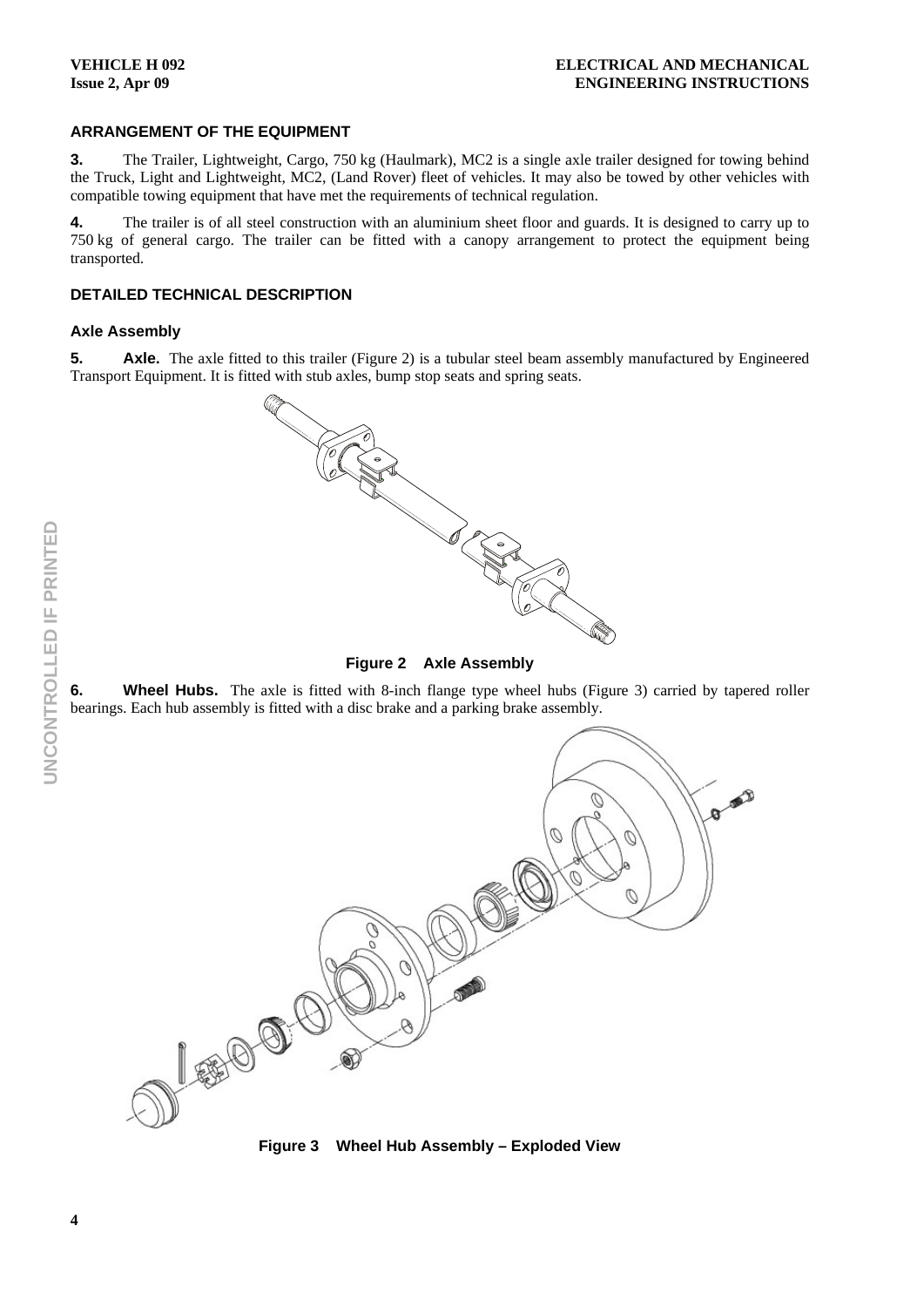#### **ARRANGEMENT OF THE EQUIPMENT**

**3.** The Trailer, Lightweight, Cargo, 750 kg (Haulmark), MC2 is a single axle trailer designed for towing behind the Truck, Light and Lightweight, MC2, (Land Rover) fleet of vehicles. It may also be towed by other vehicles with compatible towing equipment that have met the requirements of technical regulation.

**4.** The trailer is of all steel construction with an aluminium sheet floor and guards. It is designed to carry up to 750 kg of general cargo. The trailer can be fitted with a canopy arrangement to protect the equipment being transported.

#### **DETAILED TECHNICAL DESCRIPTION**

#### **Axle Assembly**

**5.** Axle. The axle fitted to this trailer (Figure 2) is a tubular steel beam assembly manufactured by Engineered Transport Equipment. It is fitted with stub axles, bump stop seats and spring seats.



**Figure 2 Axle Assembly** 

**6.** Wheel Hubs. The axle is fitted with 8-inch flange type wheel hubs (Figure 3) carried by tapered roller bearings. Each hub assembly is fitted with a disc brake and a parking brake assembly.



**Figure 3 Wheel Hub Assembly – Exploded View**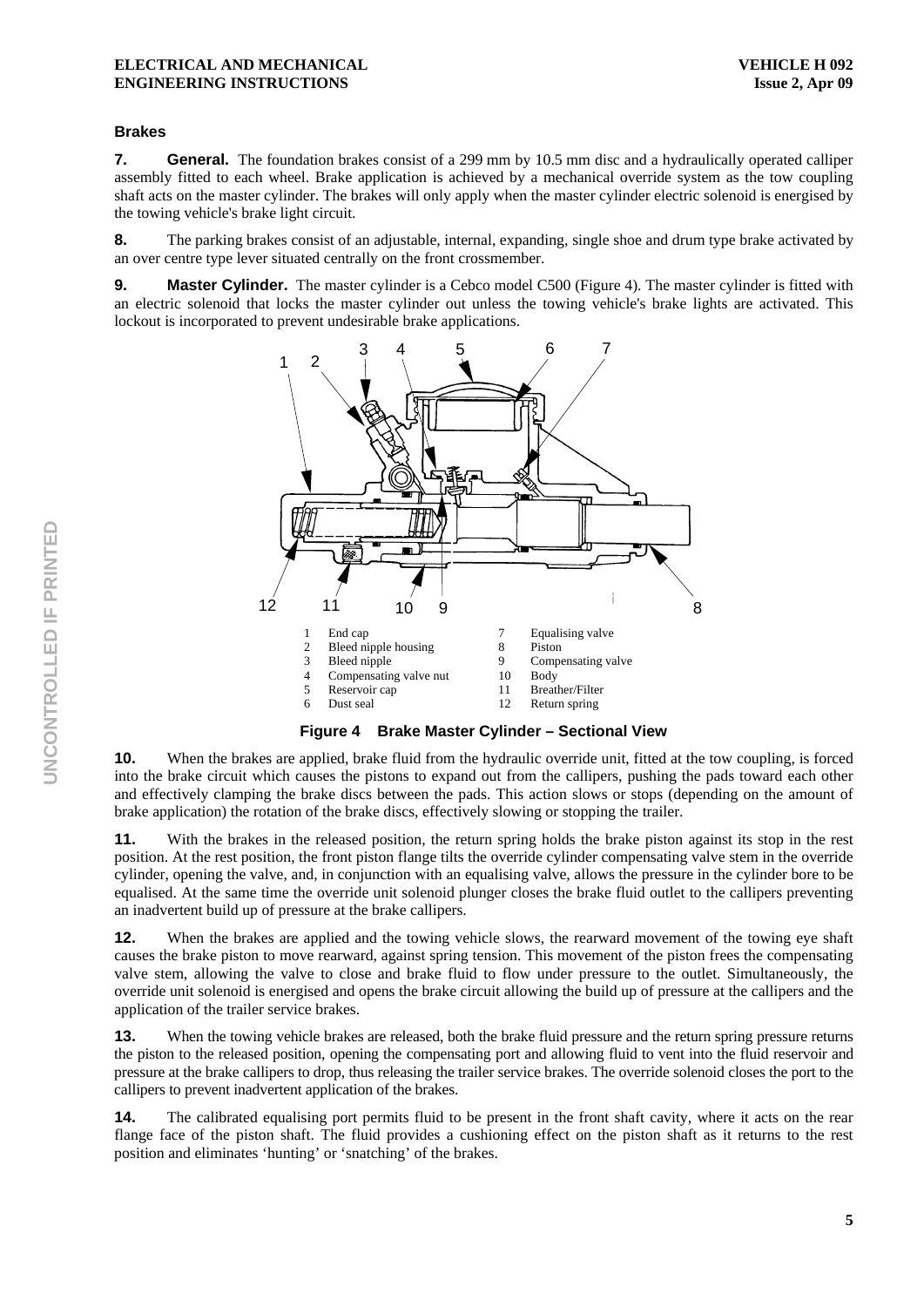#### **Brakes**

**7.** General. The foundation brakes consist of a 299 mm by 10.5 mm disc and a hydraulically operated calliper assembly fitted to each wheel. Brake application is achieved by a mechanical override system as the tow coupling shaft acts on the master cylinder. The brakes will only apply when the master cylinder electric solenoid is energised by the towing vehicle's brake light circuit.

**8.** The parking brakes consist of an adjustable, internal, expanding, single shoe and drum type brake activated by an over centre type lever situated centrally on the front crossmember.

**9.** Master Cylinder. The master cylinder is a Cebco model C500 (Figure 4). The master cylinder is fitted with an electric solenoid that locks the master cylinder out unless the towing vehicle's brake lights are activated. This lockout is incorporated to prevent undesirable brake applications.



**Figure 4 Brake Master Cylinder – Sectional View** 

**10.** When the brakes are applied, brake fluid from the hydraulic override unit, fitted at the tow coupling, is forced into the brake circuit which causes the pistons to expand out from the callipers, pushing the pads toward each other and effectively clamping the brake discs between the pads. This action slows or stops (depending on the amount of brake application) the rotation of the brake discs, effectively slowing or stopping the trailer.

**11.** With the brakes in the released position, the return spring holds the brake piston against its stop in the rest position. At the rest position, the front piston flange tilts the override cylinder compensating valve stem in the override cylinder, opening the valve, and, in conjunction with an equalising valve, allows the pressure in the cylinder bore to be equalised. At the same time the override unit solenoid plunger closes the brake fluid outlet to the callipers preventing an inadvertent build up of pressure at the brake callipers.

**12.** When the brakes are applied and the towing vehicle slows, the rearward movement of the towing eye shaft causes the brake piston to move rearward, against spring tension. This movement of the piston frees the compensating valve stem, allowing the valve to close and brake fluid to flow under pressure to the outlet. Simultaneously, the override unit solenoid is energised and opens the brake circuit allowing the build up of pressure at the callipers and the application of the trailer service brakes.

**13.** When the towing vehicle brakes are released, both the brake fluid pressure and the return spring pressure returns the piston to the released position, opening the compensating port and allowing fluid to vent into the fluid reservoir and pressure at the brake callipers to drop, thus releasing the trailer service brakes. The override solenoid closes the port to the callipers to prevent inadvertent application of the brakes.

**14.** The calibrated equalising port permits fluid to be present in the front shaft cavity, where it acts on the rear flange face of the piston shaft. The fluid provides a cushioning effect on the piston shaft as it returns to the rest position and eliminates 'hunting' or 'snatching' of the brakes.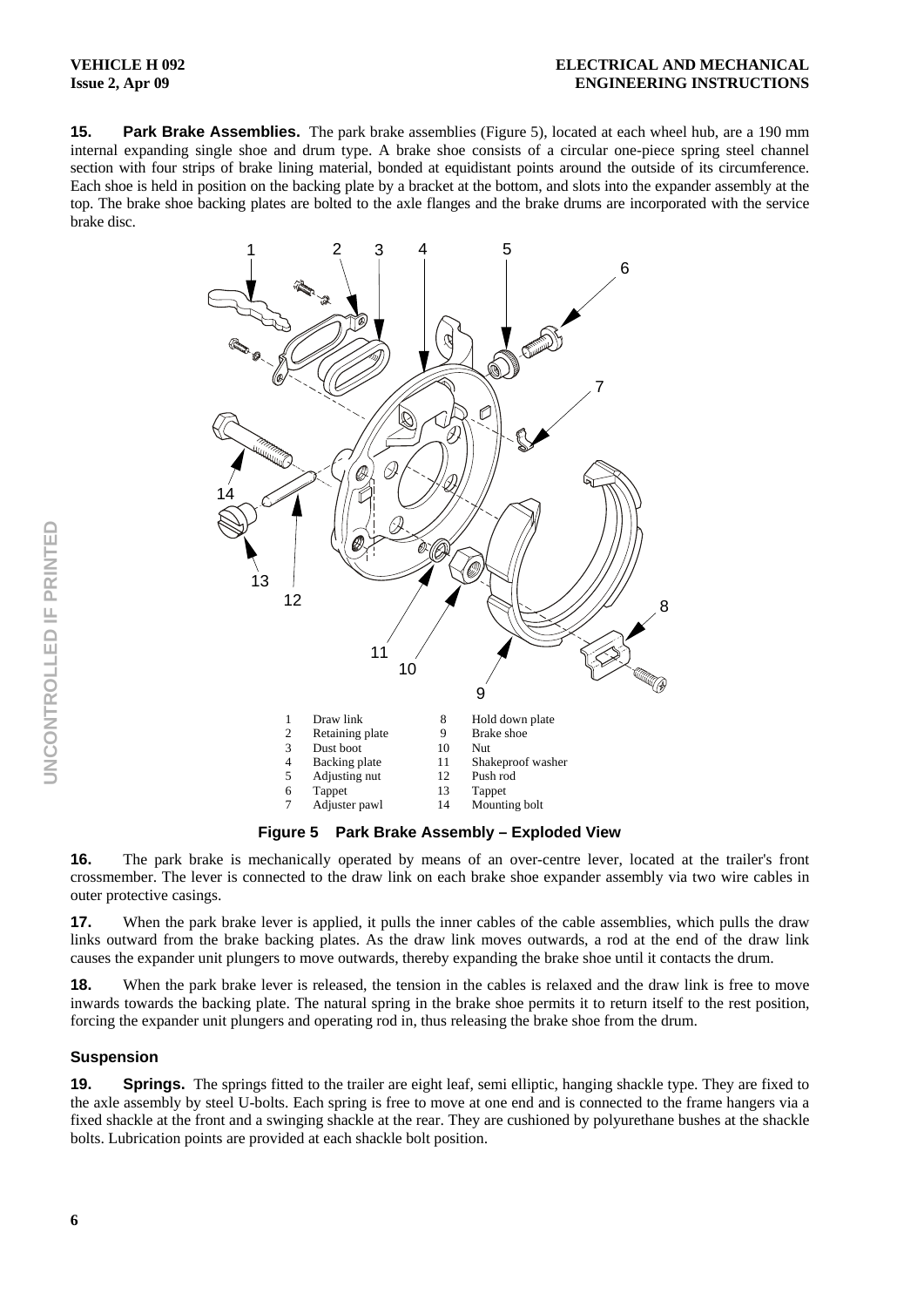**15. Park Brake Assemblies.** The park brake assemblies (Figure 5), located at each wheel hub, are a 190 mm internal expanding single shoe and drum type. A brake shoe consists of a circular one-piece spring steel channel section with four strips of brake lining material, bonded at equidistant points around the outside of its circumference. Each shoe is held in position on the backing plate by a bracket at the bottom, and slots into the expander assembly at the top. The brake shoe backing plates are bolted to the axle flanges and the brake drums are incorporated with the service brake disc.



**Figure 5 Park Brake Assembly – Exploded View** 

**16.** The park brake is mechanically operated by means of an over-centre lever, located at the trailer's front crossmember. The lever is connected to the draw link on each brake shoe expander assembly via two wire cables in outer protective casings.

**17.** When the park brake lever is applied, it pulls the inner cables of the cable assemblies, which pulls the draw links outward from the brake backing plates. As the draw link moves outwards, a rod at the end of the draw link causes the expander unit plungers to move outwards, thereby expanding the brake shoe until it contacts the drum.

**18.** When the park brake lever is released, the tension in the cables is relaxed and the draw link is free to move inwards towards the backing plate. The natural spring in the brake shoe permits it to return itself to the rest position, forcing the expander unit plungers and operating rod in, thus releasing the brake shoe from the drum.

#### **Suspension**

**19. Springs.** The springs fitted to the trailer are eight leaf, semi elliptic, hanging shackle type. They are fixed to the axle assembly by steel U-bolts. Each spring is free to move at one end and is connected to the frame hangers via a fixed shackle at the front and a swinging shackle at the rear. They are cushioned by polyurethane bushes at the shackle bolts. Lubrication points are provided at each shackle bolt position.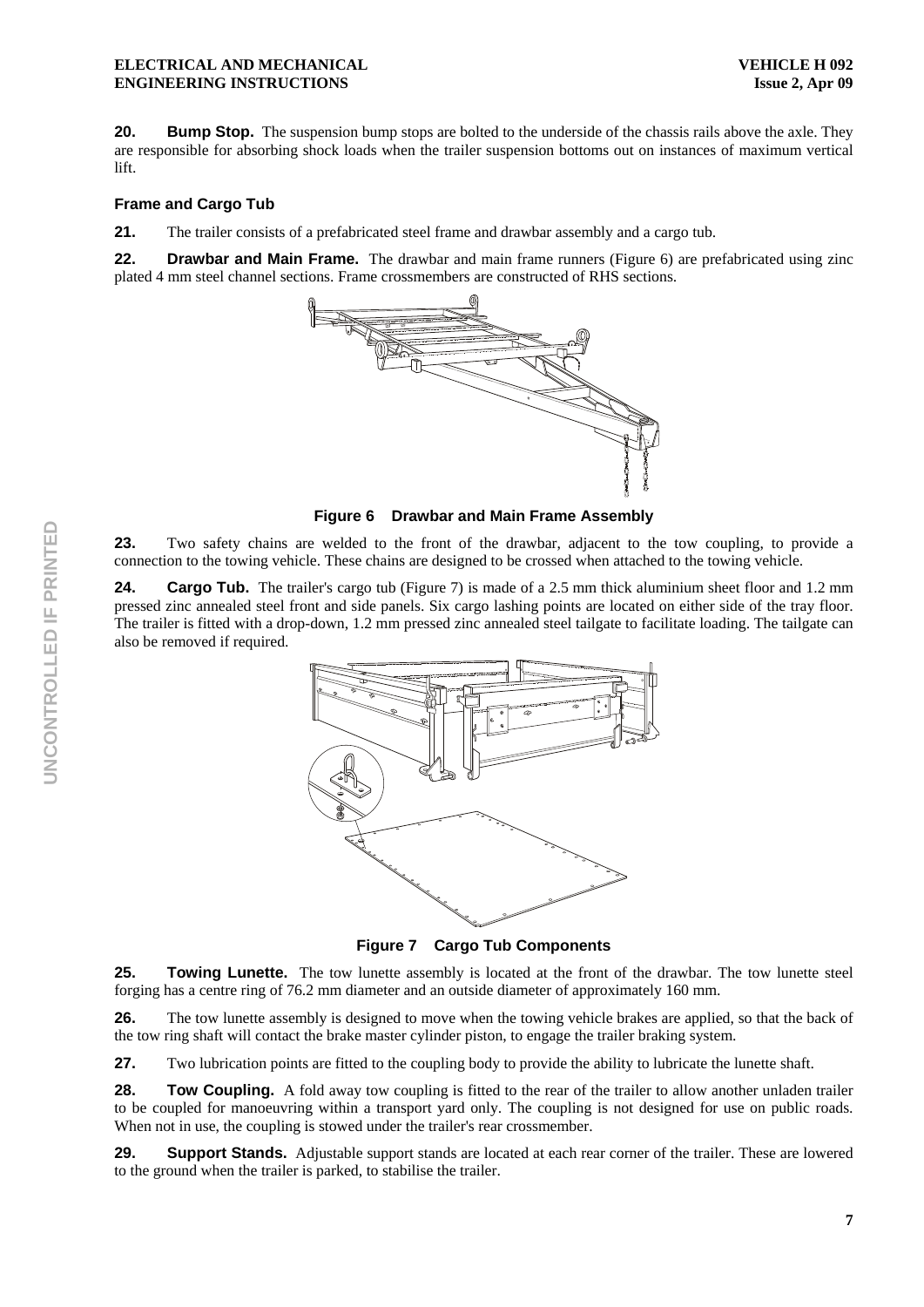**20. Bump Stop.** The suspension bump stops are bolted to the underside of the chassis rails above the axle. They are responsible for absorbing shock loads when the trailer suspension bottoms out on instances of maximum vertical lift.

#### **Frame and Cargo Tub**

**21.** The trailer consists of a prefabricated steel frame and drawbar assembly and a cargo tub.

**22. Drawbar and Main Frame.** The drawbar and main frame runners (Figure 6) are prefabricated using zinc plated 4 mm steel channel sections. Frame crossmembers are constructed of RHS sections.



**Figure 6 Drawbar and Main Frame Assembly** 

**23.** Two safety chains are welded to the front of the drawbar, adjacent to the tow coupling, to provide a connection to the towing vehicle. These chains are designed to be crossed when attached to the towing vehicle.

**24. Cargo Tub.** The trailer's cargo tub (Figure 7) is made of a 2.5 mm thick aluminium sheet floor and 1.2 mm pressed zinc annealed steel front and side panels. Six cargo lashing points are located on either side of the tray floor. The trailer is fitted with a drop-down, 1.2 mm pressed zinc annealed steel tailgate to facilitate loading. The tailgate can also be removed if required.



**Figure 7 Cargo Tub Components** 

**25. Towing Lunette.** The tow lunette assembly is located at the front of the drawbar. The tow lunette steel forging has a centre ring of 76.2 mm diameter and an outside diameter of approximately 160 mm.

**26.** The tow lunette assembly is designed to move when the towing vehicle brakes are applied, so that the back of the tow ring shaft will contact the brake master cylinder piston, to engage the trailer braking system.

**27.** Two lubrication points are fitted to the coupling body to provide the ability to lubricate the lunette shaft.

**28. Tow Coupling.** A fold away tow coupling is fitted to the rear of the trailer to allow another unladen trailer to be coupled for manoeuvring within a transport yard only. The coupling is not designed for use on public roads. When not in use, the coupling is stowed under the trailer's rear crossmember.

**29.** Support Stands. Adjustable support stands are located at each rear corner of the trailer. These are lowered to the ground when the trailer is parked, to stabilise the trailer.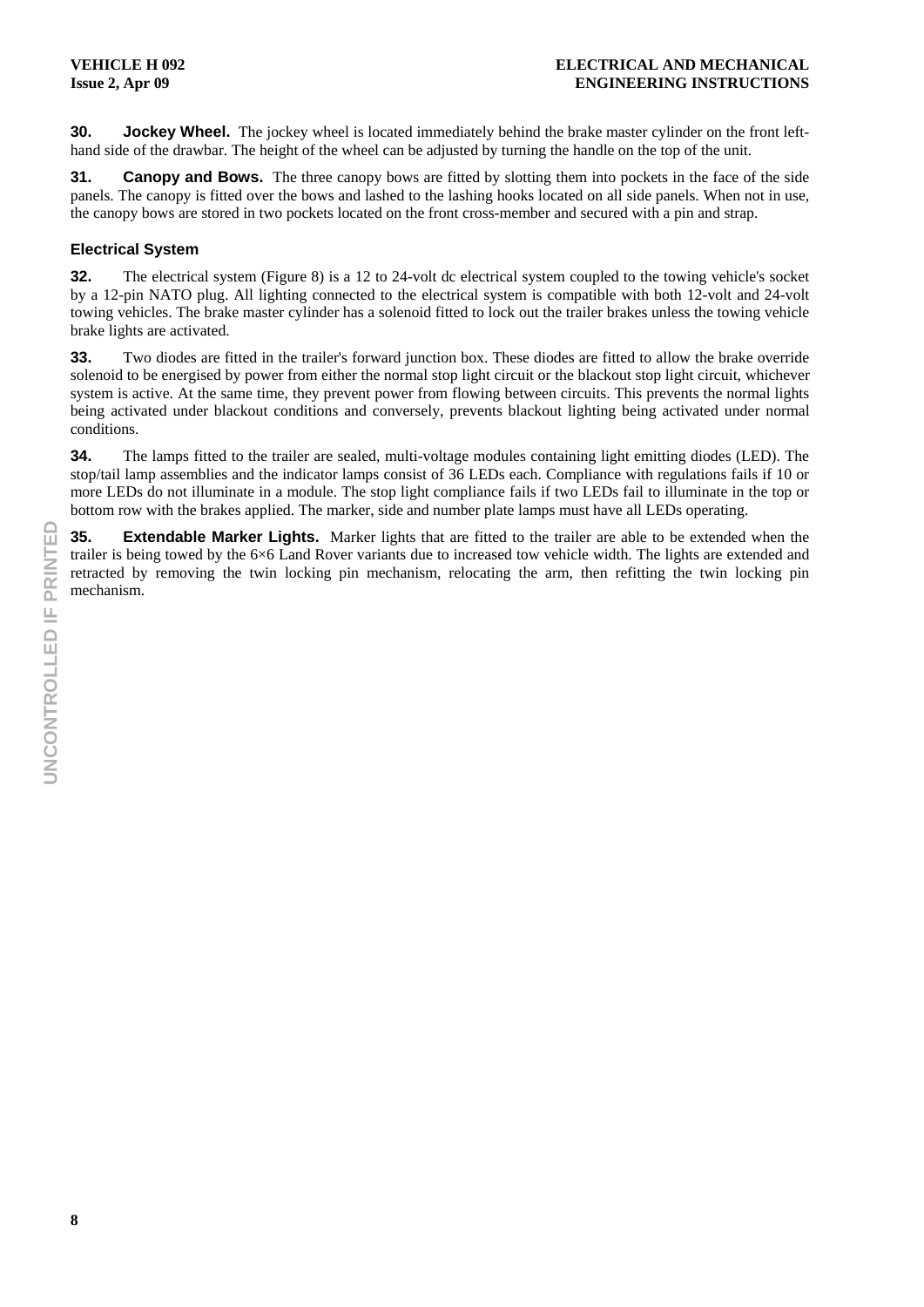**30. Jockey Wheel.** The jockey wheel is located immediately behind the brake master cylinder on the front lefthand side of the drawbar. The height of the wheel can be adjusted by turning the handle on the top of the unit.

**31.** Canopy and Bows. The three canopy bows are fitted by slotting them into pockets in the face of the side panels. The canopy is fitted over the bows and lashed to the lashing hooks located on all side panels. When not in use, the canopy bows are stored in two pockets located on the front cross-member and secured with a pin and strap.

#### **Electrical System**

**32.** The electrical system (Figure 8) is a 12 to 24-volt dc electrical system coupled to the towing vehicle's socket by a 12-pin NATO plug. All lighting connected to the electrical system is compatible with both 12-volt and 24-volt towing vehicles. The brake master cylinder has a solenoid fitted to lock out the trailer brakes unless the towing vehicle brake lights are activated.

**33.** Two diodes are fitted in the trailer's forward junction box. These diodes are fitted to allow the brake override solenoid to be energised by power from either the normal stop light circuit or the blackout stop light circuit, whichever system is active. At the same time, they prevent power from flowing between circuits. This prevents the normal lights being activated under blackout conditions and conversely, prevents blackout lighting being activated under normal conditions.

**34.** The lamps fitted to the trailer are sealed, multi-voltage modules containing light emitting diodes (LED). The stop/tail lamp assemblies and the indicator lamps consist of 36 LEDs each. Compliance with regulations fails if 10 or more LEDs do not illuminate in a module. The stop light compliance fails if two LEDs fail to illuminate in the top or bottom row with the brakes applied. The marker, side and number plate lamps must have all LEDs operating.

**35. Extendable Marker Lights.** Marker lights that are fitted to the trailer are able to be extended when the trailer is being towed by the 6×6 Land Rover variants due to increased tow vehicle width. The lights are extended and retracted by removing the twin locking pin mechanism, relocating the arm, then refitting the twin locking pin mechanism.